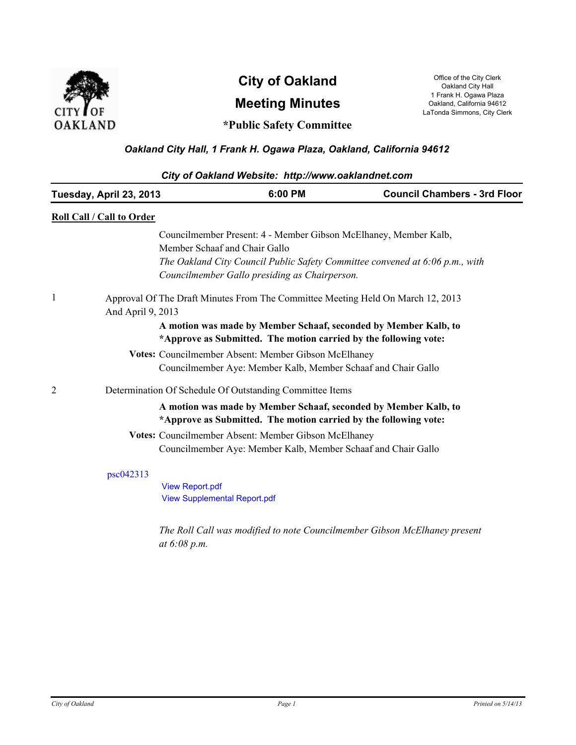

# **Meeting Minutes City of Oakland** Office of the City Clerk Oakland City Lerk

Oakland City Hall 1 Frank H. Ogawa Plaza Oakland, California 94612 LaTonda Simmons, City Clerk

# **\*Public Safety Committee**

# *Oakland City Hall, 1 Frank H. Ogawa Plaza, Oakland, California 94612*

| City of Oakland Website: http://www.oaklandnet.com |                           |                                                                                 |                                                                              |  |  |
|----------------------------------------------------|---------------------------|---------------------------------------------------------------------------------|------------------------------------------------------------------------------|--|--|
|                                                    | Tuesday, April 23, 2013   | 6:00 PM                                                                         | <b>Council Chambers - 3rd Floor</b>                                          |  |  |
|                                                    | Roll Call / Call to Order |                                                                                 |                                                                              |  |  |
|                                                    |                           | Councilmember Present: 4 - Member Gibson McElhaney, Member Kalb,                |                                                                              |  |  |
|                                                    |                           | Member Schaaf and Chair Gallo                                                   |                                                                              |  |  |
|                                                    |                           |                                                                                 | The Oakland City Council Public Safety Committee convened at 6:06 p.m., with |  |  |
|                                                    |                           | Councilmember Gallo presiding as Chairperson.                                   |                                                                              |  |  |
|                                                    |                           | Approval Of The Draft Minutes From The Committee Meeting Held On March 12, 2013 |                                                                              |  |  |
|                                                    | And April 9, 2013         |                                                                                 |                                                                              |  |  |
|                                                    |                           | A motion was made by Member Schaaf, seconded by Member Kalb, to                 |                                                                              |  |  |
|                                                    |                           | *Approve as Submitted. The motion carried by the following vote:                |                                                                              |  |  |
|                                                    |                           | Votes: Councilmember Absent: Member Gibson McElhaney                            |                                                                              |  |  |
|                                                    |                           | Councilmember Aye: Member Kalb, Member Schaaf and Chair Gallo                   |                                                                              |  |  |
| $\overline{c}$                                     |                           | Determination Of Schedule Of Outstanding Committee Items                        |                                                                              |  |  |
|                                                    |                           | A motion was made by Member Schaaf, seconded by Member Kalb, to                 |                                                                              |  |  |
|                                                    |                           | *Approve as Submitted. The motion carried by the following vote:                |                                                                              |  |  |
|                                                    |                           | Votes: Councilmember Absent: Member Gibson McElhaney                            |                                                                              |  |  |
|                                                    |                           | Councilmember Aye: Member Kalb, Member Schaaf and Chair Gallo                   |                                                                              |  |  |
|                                                    | psc042313                 |                                                                                 |                                                                              |  |  |
|                                                    |                           | <b>View Report.pdf</b>                                                          |                                                                              |  |  |
|                                                    |                           | <b>View Supplemental Report.pdf</b>                                             |                                                                              |  |  |
|                                                    |                           |                                                                                 | The Roll Call was modified to note Councilmember Gibson McElhaney present    |  |  |
|                                                    |                           | at $6:08 p.m.$                                                                  |                                                                              |  |  |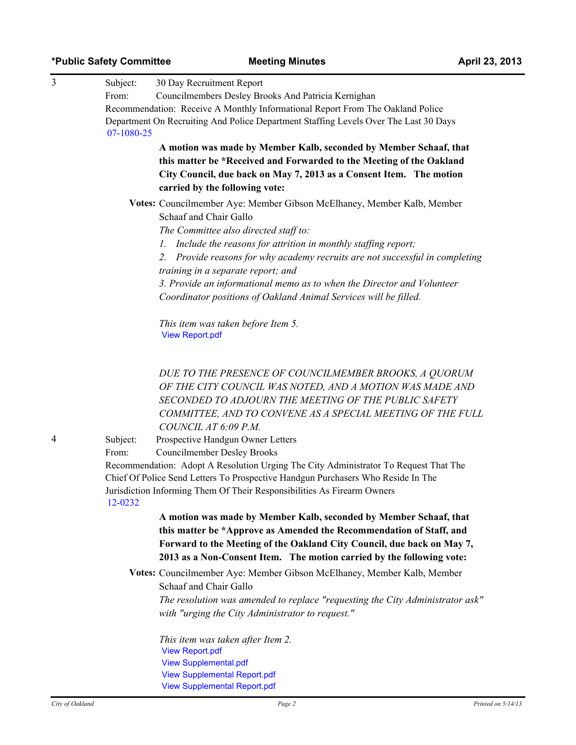| *Public Safety Committee |  |
|--------------------------|--|
|--------------------------|--|

| 3 | Subject:                                                                                           | 30 Day Recruitment Report                                                                                                                                                |  |  |  |  |
|---|----------------------------------------------------------------------------------------------------|--------------------------------------------------------------------------------------------------------------------------------------------------------------------------|--|--|--|--|
|   | From:                                                                                              | Councilmembers Desley Brooks And Patricia Kernighan                                                                                                                      |  |  |  |  |
|   |                                                                                                    | Recommendation: Receive A Monthly Informational Report From The Oakland Police                                                                                           |  |  |  |  |
|   | Department On Recruiting And Police Department Staffing Levels Over The Last 30 Days<br>07-1080-25 |                                                                                                                                                                          |  |  |  |  |
|   |                                                                                                    | A motion was made by Member Kalb, seconded by Member Schaaf, that                                                                                                        |  |  |  |  |
|   |                                                                                                    | this matter be *Received and Forwarded to the Meeting of the Oakland<br>City Council, due back on May 7, 2013 as a Consent Item. The motion                              |  |  |  |  |
|   |                                                                                                    | carried by the following vote:                                                                                                                                           |  |  |  |  |
|   |                                                                                                    |                                                                                                                                                                          |  |  |  |  |
|   |                                                                                                    | Votes: Councilmember Aye: Member Gibson McElhaney, Member Kalb, Member<br>Schaaf and Chair Gallo                                                                         |  |  |  |  |
|   |                                                                                                    | The Committee also directed staff to:                                                                                                                                    |  |  |  |  |
|   |                                                                                                    | 1. Include the reasons for attrition in monthly staffing report;                                                                                                         |  |  |  |  |
|   |                                                                                                    | 2. Provide reasons for why academy recruits are not successful in completing                                                                                             |  |  |  |  |
|   |                                                                                                    | training in a separate report; and                                                                                                                                       |  |  |  |  |
|   |                                                                                                    | 3. Provide an informational memo as to when the Director and Volunteer                                                                                                   |  |  |  |  |
|   |                                                                                                    | Coordinator positions of Oakland Animal Services will be filled.                                                                                                         |  |  |  |  |
|   |                                                                                                    | This item was taken before Item 5.<br><b>View Report.pdf</b>                                                                                                             |  |  |  |  |
|   |                                                                                                    |                                                                                                                                                                          |  |  |  |  |
|   |                                                                                                    | DUE TO THE PRESENCE OF COUNCILMEMBER BROOKS, A QUORUM                                                                                                                    |  |  |  |  |
|   |                                                                                                    | OF THE CITY COUNCIL WAS NOTED, AND A MOTION WAS MADE AND                                                                                                                 |  |  |  |  |
|   |                                                                                                    | SECONDED TO ADJOURN THE MEETING OF THE PUBLIC SAFETY                                                                                                                     |  |  |  |  |
|   |                                                                                                    | COMMITTEE, AND TO CONVENE AS A SPECIAL MEETING OF THE FULL                                                                                                               |  |  |  |  |
|   |                                                                                                    | COUNCIL AT 6:09 P.M.                                                                                                                                                     |  |  |  |  |
| 4 | Subject:                                                                                           | Prospective Handgun Owner Letters                                                                                                                                        |  |  |  |  |
|   | From:                                                                                              | <b>Councilmember Desley Brooks</b>                                                                                                                                       |  |  |  |  |
|   |                                                                                                    | Recommendation: Adopt A Resolution Urging The City Administrator To Request That The<br>Chief Of Police Send Letters To Prospective Handgun Purchasers Who Reside In The |  |  |  |  |
|   |                                                                                                    | Jurisdiction Informing Them Of Their Responsibilities As Firearm Owners                                                                                                  |  |  |  |  |
|   | 12-0232                                                                                            |                                                                                                                                                                          |  |  |  |  |
|   |                                                                                                    | A motion was made by Member Kalb, seconded by Member Schaaf, that                                                                                                        |  |  |  |  |
|   |                                                                                                    | this matter be *Approve as Amended the Recommendation of Staff, and                                                                                                      |  |  |  |  |
|   |                                                                                                    | Forward to the Meeting of the Oakland City Council, due back on May 7,                                                                                                   |  |  |  |  |
|   |                                                                                                    | 2013 as a Non-Consent Item. The motion carried by the following vote:                                                                                                    |  |  |  |  |
|   |                                                                                                    | Votes: Councilmember Aye: Member Gibson McElhaney, Member Kalb, Member                                                                                                   |  |  |  |  |
|   |                                                                                                    | Schaaf and Chair Gallo                                                                                                                                                   |  |  |  |  |
|   |                                                                                                    | The resolution was amended to replace "requesting the City Administrator ask"                                                                                            |  |  |  |  |
|   |                                                                                                    | with "urging the City Administrator to request."                                                                                                                         |  |  |  |  |
|   |                                                                                                    | This item was taken after Item 2.                                                                                                                                        |  |  |  |  |
|   |                                                                                                    |                                                                                                                                                                          |  |  |  |  |

[View Report.pdf](http://oakland.legistar.com/gateway.aspx?M%3dF&ID53d31047.pdf) [View Supplemental.pdf](http://oakland.legistar.com/gateway.aspx?M%3dF&ID53d31325.pdf) [View Supplemental Report.pdf](http://oakland.legistar.com/gateway.aspx?M%3dF&ID53d31378.pdf) [View Supplemental Report.pdf](http://oakland.legistar.com/gateway.aspx?M%3dF&ID53d31383.pdf)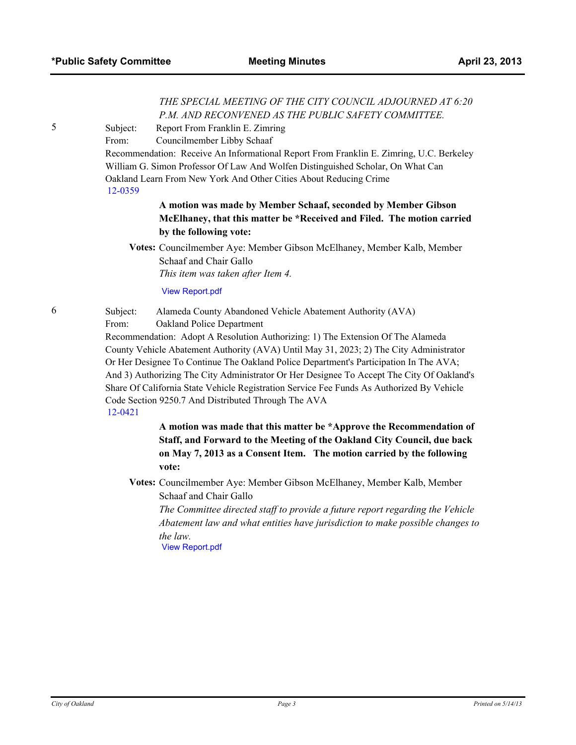### *THE SPECIAL MEETING OF THE CITY COUNCIL ADJOURNED AT 6:20 P.M. AND RECONVENED AS THE PUBLIC SAFETY COMMITTEE.*

5 Subject: Report From Franklin E. Zimring

From: Councilmember Libby Schaaf

Recommendation: Receive An Informational Report From Franklin E. Zimring, U.C. Berkeley William G. Simon Professor Of Law And Wolfen Distinguished Scholar, On What Can Oakland Learn From New York And Other Cities About Reducing Crime [12-0359](http://oakland.legistar.com/gateway.aspx/matter.aspx?key=22119)

## **A motion was made by Member Schaaf, seconded by Member Gibson McElhaney, that this matter be \*Received and Filed. The motion carried by the following vote:**

**Votes:** Councilmember Aye: Member Gibson McElhaney, Member Kalb, Member Schaaf and Chair Gallo *This item was taken after Item 4.*

#### [View Report.pdf](http://oakland.legistar.com/gateway.aspx?M%3dF&ID53d31305.pdf)

6 Subject: Alameda County Abandoned Vehicle Abatement Authority (AVA) From: Oakland Police Department

Recommendation: Adopt A Resolution Authorizing: 1) The Extension Of The Alameda County Vehicle Abatement Authority (AVA) Until May 31, 2023; 2) The City Administrator Or Her Designee To Continue The Oakland Police Department's Participation In The AVA; And 3) Authorizing The City Administrator Or Her Designee To Accept The City Of Oakland's Share Of California State Vehicle Registration Service Fee Funds As Authorized By Vehicle Code Section 9250.7 And Distributed Through The AVA [12-0421](http://oakland.legistar.com/gateway.aspx/matter.aspx?key=22207)

> **A motion was made that this matter be \*Approve the Recommendation of Staff, and Forward to the Meeting of the Oakland City Council, due back on May 7, 2013 as a Consent Item. The motion carried by the following vote:**

**Votes:** Councilmember Aye: Member Gibson McElhaney, Member Kalb, Member Schaaf and Chair Gallo

*The Committee directed staff to provide a future report regarding the Vehicle Abatement law and what entities have jurisdiction to make possible changes to the law.*

[View Report.pdf](http://oakland.legistar.com/gateway.aspx?M%3dF&ID53d31281.pdf)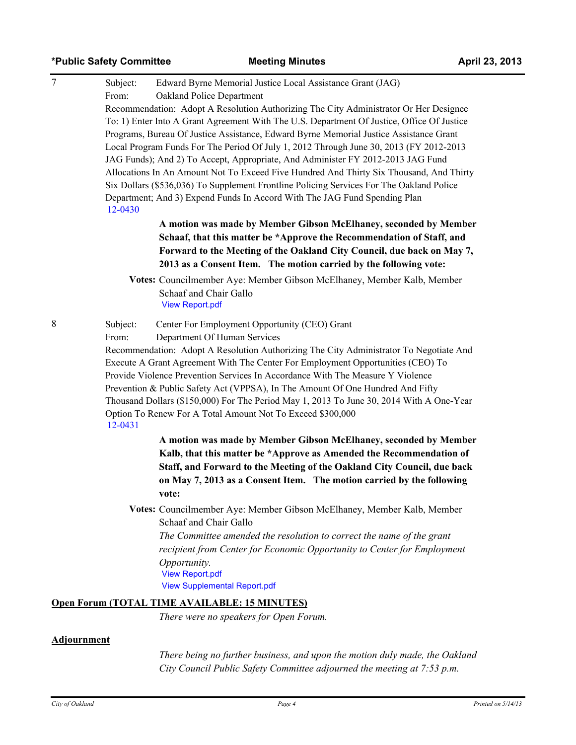## **\*Public Safety Committee Meeting Minutes April 23, 2013**

| $\overline{7}$<br>Subject:<br>Edward Byrne Memorial Justice Local Assistance Grant (JAG) |                                                                                                                                                                                                                                                                                                                                                                                                                                                                                                                                                                                                                                                                                                                                                                                                               |  |  |  |  |
|------------------------------------------------------------------------------------------|---------------------------------------------------------------------------------------------------------------------------------------------------------------------------------------------------------------------------------------------------------------------------------------------------------------------------------------------------------------------------------------------------------------------------------------------------------------------------------------------------------------------------------------------------------------------------------------------------------------------------------------------------------------------------------------------------------------------------------------------------------------------------------------------------------------|--|--|--|--|
| From:<br>Oakland Police Department                                                       |                                                                                                                                                                                                                                                                                                                                                                                                                                                                                                                                                                                                                                                                                                                                                                                                               |  |  |  |  |
|                                                                                          | Recommendation: Adopt A Resolution Authorizing The City Administrator Or Her Designee<br>To: 1) Enter Into A Grant Agreement With The U.S. Department Of Justice, Office Of Justice<br>Programs, Bureau Of Justice Assistance, Edward Byrne Memorial Justice Assistance Grant<br>Local Program Funds For The Period Of July 1, 2012 Through June 30, 2013 (FY 2012-2013<br>JAG Funds); And 2) To Accept, Appropriate, And Administer FY 2012-2013 JAG Fund<br>Allocations In An Amount Not To Exceed Five Hundred And Thirty Six Thousand, And Thirty<br>Six Dollars (\$536,036) To Supplement Frontline Policing Services For The Oakland Police<br>Department; And 3) Expend Funds In Accord With The JAG Fund Spending Plan<br>12-0430<br>A motion was made by Member Gibson McElhaney, seconded by Member |  |  |  |  |
|                                                                                          |                                                                                                                                                                                                                                                                                                                                                                                                                                                                                                                                                                                                                                                                                                                                                                                                               |  |  |  |  |
|                                                                                          |                                                                                                                                                                                                                                                                                                                                                                                                                                                                                                                                                                                                                                                                                                                                                                                                               |  |  |  |  |
|                                                                                          |                                                                                                                                                                                                                                                                                                                                                                                                                                                                                                                                                                                                                                                                                                                                                                                                               |  |  |  |  |
|                                                                                          |                                                                                                                                                                                                                                                                                                                                                                                                                                                                                                                                                                                                                                                                                                                                                                                                               |  |  |  |  |
|                                                                                          |                                                                                                                                                                                                                                                                                                                                                                                                                                                                                                                                                                                                                                                                                                                                                                                                               |  |  |  |  |
|                                                                                          |                                                                                                                                                                                                                                                                                                                                                                                                                                                                                                                                                                                                                                                                                                                                                                                                               |  |  |  |  |
|                                                                                          |                                                                                                                                                                                                                                                                                                                                                                                                                                                                                                                                                                                                                                                                                                                                                                                                               |  |  |  |  |
|                                                                                          |                                                                                                                                                                                                                                                                                                                                                                                                                                                                                                                                                                                                                                                                                                                                                                                                               |  |  |  |  |
|                                                                                          | Schaaf, that this matter be *Approve the Recommendation of Staff, and<br>Forward to the Meeting of the Oakland City Council, due back on May 7,                                                                                                                                                                                                                                                                                                                                                                                                                                                                                                                                                                                                                                                               |  |  |  |  |
|                                                                                          |                                                                                                                                                                                                                                                                                                                                                                                                                                                                                                                                                                                                                                                                                                                                                                                                               |  |  |  |  |
| 2013 as a Consent Item. The motion carried by the following vote:                        |                                                                                                                                                                                                                                                                                                                                                                                                                                                                                                                                                                                                                                                                                                                                                                                                               |  |  |  |  |
| Votes: Councilmember Aye: Member Gibson McElhaney, Member Kalb, Member                   |                                                                                                                                                                                                                                                                                                                                                                                                                                                                                                                                                                                                                                                                                                                                                                                                               |  |  |  |  |
| Schaaf and Chair Gallo                                                                   |                                                                                                                                                                                                                                                                                                                                                                                                                                                                                                                                                                                                                                                                                                                                                                                                               |  |  |  |  |
| <b>View Report.pdf</b>                                                                   |                                                                                                                                                                                                                                                                                                                                                                                                                                                                                                                                                                                                                                                                                                                                                                                                               |  |  |  |  |
| 8<br>Center For Employment Opportunity (CEO) Grant<br>Subject:                           |                                                                                                                                                                                                                                                                                                                                                                                                                                                                                                                                                                                                                                                                                                                                                                                                               |  |  |  |  |
|                                                                                          | From:<br>Department Of Human Services<br>Recommendation: Adopt A Resolution Authorizing The City Administrator To Negotiate And                                                                                                                                                                                                                                                                                                                                                                                                                                                                                                                                                                                                                                                                               |  |  |  |  |
|                                                                                          |                                                                                                                                                                                                                                                                                                                                                                                                                                                                                                                                                                                                                                                                                                                                                                                                               |  |  |  |  |
|                                                                                          | Execute A Grant Agreement With The Center For Employment Opportunities (CEO) To                                                                                                                                                                                                                                                                                                                                                                                                                                                                                                                                                                                                                                                                                                                               |  |  |  |  |
|                                                                                          | Provide Violence Prevention Services In Accordance With The Measure Y Violence<br>Prevention & Public Safety Act (VPPSA), In The Amount Of One Hundred And Fifty<br>Thousand Dollars (\$150,000) For The Period May 1, 2013 To June 30, 2014 With A One-Year<br>Option To Renew For A Total Amount Not To Exceed \$300,000<br>12-0431                                                                                                                                                                                                                                                                                                                                                                                                                                                                         |  |  |  |  |
|                                                                                          |                                                                                                                                                                                                                                                                                                                                                                                                                                                                                                                                                                                                                                                                                                                                                                                                               |  |  |  |  |
|                                                                                          |                                                                                                                                                                                                                                                                                                                                                                                                                                                                                                                                                                                                                                                                                                                                                                                                               |  |  |  |  |
|                                                                                          |                                                                                                                                                                                                                                                                                                                                                                                                                                                                                                                                                                                                                                                                                                                                                                                                               |  |  |  |  |
| A motion was made by Member Gibson McElhaney, seconded by Member                         |                                                                                                                                                                                                                                                                                                                                                                                                                                                                                                                                                                                                                                                                                                                                                                                                               |  |  |  |  |
| Kalb, that this matter be *Approve as Amended the Recommendation of                      |                                                                                                                                                                                                                                                                                                                                                                                                                                                                                                                                                                                                                                                                                                                                                                                                               |  |  |  |  |
| Staff, and Forward to the Meeting of the Oakland City Council, due back                  |                                                                                                                                                                                                                                                                                                                                                                                                                                                                                                                                                                                                                                                                                                                                                                                                               |  |  |  |  |
| on May 7, 2013 as a Consent Item. The motion carried by the following                    |                                                                                                                                                                                                                                                                                                                                                                                                                                                                                                                                                                                                                                                                                                                                                                                                               |  |  |  |  |
| vote:                                                                                    |                                                                                                                                                                                                                                                                                                                                                                                                                                                                                                                                                                                                                                                                                                                                                                                                               |  |  |  |  |
| Votes: Councilmember Aye: Member Gibson McElhaney, Member Kalb, Member                   |                                                                                                                                                                                                                                                                                                                                                                                                                                                                                                                                                                                                                                                                                                                                                                                                               |  |  |  |  |
| Schaaf and Chair Gallo                                                                   |                                                                                                                                                                                                                                                                                                                                                                                                                                                                                                                                                                                                                                                                                                                                                                                                               |  |  |  |  |
| The Committee amended the resolution to correct the name of the grant                    |                                                                                                                                                                                                                                                                                                                                                                                                                                                                                                                                                                                                                                                                                                                                                                                                               |  |  |  |  |
| recipient from Center for Economic Opportunity to Center for Employment                  |                                                                                                                                                                                                                                                                                                                                                                                                                                                                                                                                                                                                                                                                                                                                                                                                               |  |  |  |  |
| Opportunity.                                                                             |                                                                                                                                                                                                                                                                                                                                                                                                                                                                                                                                                                                                                                                                                                                                                                                                               |  |  |  |  |
| <b>View Report.pdf</b>                                                                   |                                                                                                                                                                                                                                                                                                                                                                                                                                                                                                                                                                                                                                                                                                                                                                                                               |  |  |  |  |
| <b>View Supplemental Report.pdf</b>                                                      |                                                                                                                                                                                                                                                                                                                                                                                                                                                                                                                                                                                                                                                                                                                                                                                                               |  |  |  |  |
| Open Forum (TOTAL TIME AVAILABLE: 15 MINUTES)                                            |                                                                                                                                                                                                                                                                                                                                                                                                                                                                                                                                                                                                                                                                                                                                                                                                               |  |  |  |  |
| There were no speakers for Open Forum.                                                   |                                                                                                                                                                                                                                                                                                                                                                                                                                                                                                                                                                                                                                                                                                                                                                                                               |  |  |  |  |
| <b>Adjournment</b>                                                                       |                                                                                                                                                                                                                                                                                                                                                                                                                                                                                                                                                                                                                                                                                                                                                                                                               |  |  |  |  |

*There being no further business, and upon the motion duly made, the Oakland City Council Public Safety Committee adjourned the meeting at 7:53 p.m.*